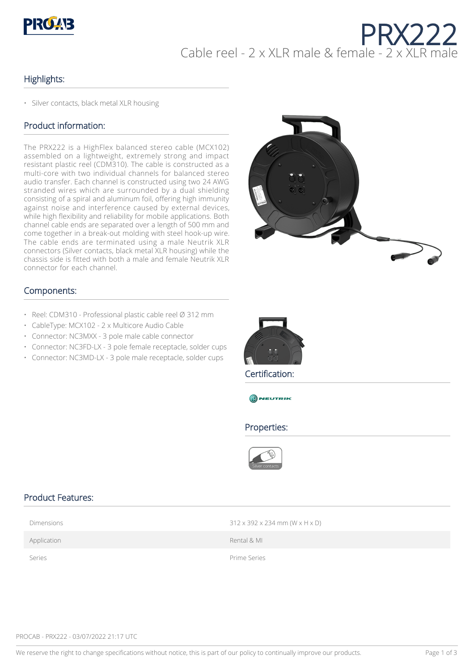

# PRX222 Cable reel - 2 x XLR male & female - 2 x XLR male

### Highlights:

• Silver contacts, black metal XLR housing

## Product information:

The PRX222 is a HighFlex balanced stereo cable (MCX102) assembled on a lightweight, extremely strong and impact resistant plastic reel (CDM310). The cable is constructed as a multi-core with two individual channels for balanced stereo audio transfer. Each channel is constructed using two 24 AWG stranded wires which are surrounded by a dual shielding consisting of a spiral and aluminum foil, offering high immunity against noise and interference caused by external devices, while high flexibility and reliability for mobile applications. Both channel cable ends are separated over a length of 500 mm and come together in a break-out molding with steel hook-up wire. The cable ends are terminated using a male Neutrik XLR connectors (Silver contacts, black metal XLR housing) while the chassis side is fitted with both a male and female Neutrik XLR connector for each channel.



#### Components:

- Reel: CDM310 Professional plastic cable reel Ø 312 mm
- CableType: MCX102 2 x Multicore Audio Cable
- Connector: NC3MXX 3 pole male cable connector
- Connector: NC3FD-LX 3 pole female receptacle, solder cups
- Connector: NC3MD-LX 3 pole male receptacle, solder cups



Certification:



#### Properties:



#### Product Features:

| Dimensions |  |
|------------|--|
|            |  |

 $312 \times 392 \times 234$  mm (W  $\times$  H  $\times$  D)

Application **Application Rental & MI** 

Series **Prime Series** 

PROCAB - PRX222 - 03/07/2022 21:17 UTC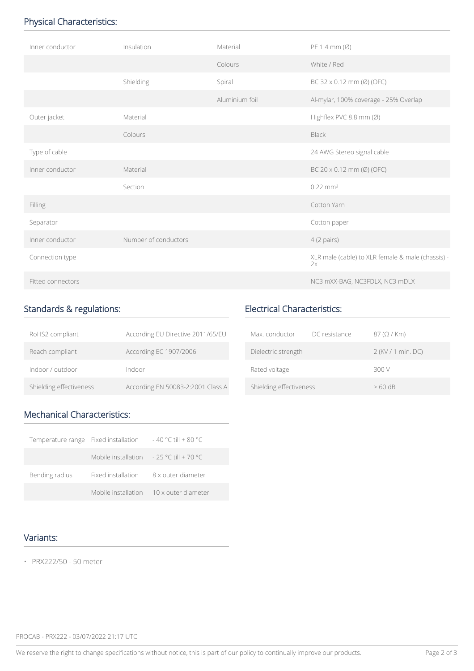# Physical Characteristics:

| Inner conductor   | Insulation           | Material       | PE 1.4 mm $(\emptyset)$                                 |
|-------------------|----------------------|----------------|---------------------------------------------------------|
|                   |                      | Colours        | White / Red                                             |
|                   | Shielding            | Spiral         | BC 32 x 0.12 mm (Ø) (OFC)                               |
|                   |                      | Aluminium foil | Al-mylar, 100% coverage - 25% Overlap                   |
| Outer jacket      | Material             |                | Highflex PVC 8.8 mm (Ø)                                 |
|                   | Colours              |                | <b>Black</b>                                            |
| Type of cable     |                      |                | 24 AWG Stereo signal cable                              |
| Inner conductor   | Material             |                | BC $20 \times 0.12$ mm (Ø) (OFC)                        |
|                   | Section              |                | $0.22 \text{ mm}^2$                                     |
| Filling           |                      |                | Cotton Yarn                                             |
| Separator         |                      |                | Cotton paper                                            |
| Inner conductor   | Number of conductors |                | $4(2 \text{ pairs})$                                    |
| Connection type   |                      |                | XLR male (cable) to XLR female & male (chassis) -<br>2x |
| Fitted connectors |                      |                | NC3 mXX-BAG, NC3FDLX, NC3 mDLX                          |

## Standards & regulations:

| RoHS2 compliant         | According EU Directive 2011/65/EU |
|-------------------------|-----------------------------------|
| Reach compliant         | According EC 1907/2006            |
| Indoor / outdoor        | Indoor                            |
| Shielding effectiveness | According EN 50083-2:2001 Class A |

# Electrical Characteristics:

| Max. conductor          | DC resistance | $87$ ( $\Omega$ / Km) |
|-------------------------|---------------|-----------------------|
| Dielectric strength     |               | 2 (KV / 1 min. DC)    |
| Rated voltage           |               | 300 V                 |
| Shielding effectiveness |               | $>60$ dB              |

# Mechanical Characteristics:

| Temperature range Fixed installation |                                                           | $-40$ °C till + 80 °C                   |
|--------------------------------------|-----------------------------------------------------------|-----------------------------------------|
|                                      | Mobile installation $-25 \degree$ C till + 70 $\degree$ C |                                         |
| Bending radius                       | Fixed installation                                        | 8 x outer diameter                      |
|                                      |                                                           | Mobile installation 10 x outer diameter |

## Variants:

• PRX222/50 - 50 meter